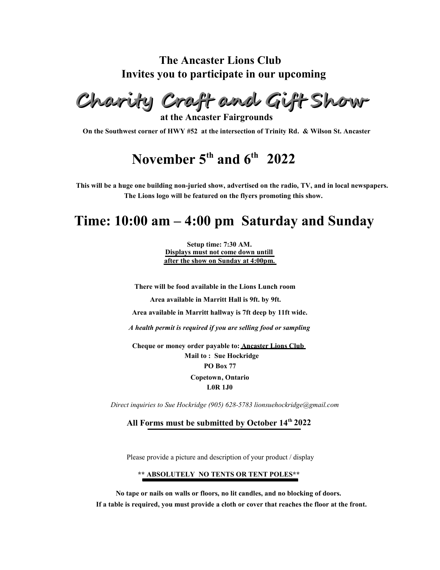### **The Ancaster Lions Club Invites you to participate in our upcoming**

**Charity Craft and Gift Show**

**at the Ancaster Fairgrounds**

**On the Southwest corner of HWY #52 at the intersection of Trinity Rd. & Wilson St. Ancaster**

# **November 5th and 6th 2022**

**This will be a huge one building non-juried show, advertised on the radio, TV, and in local newspapers. The Lions logo will be featured on the flyers promoting this show.**

## **Time: 10:00 am – 4:00 pm Saturday and Sunday**

**Setup time: 7:30 AM. Displays must not come down untill after the show on Sunday at 4:00pm.**

**There will be food available in the Lions Lunch room Area available in Marritt Hall is 9ft. by 9ft. Area available in Marritt hallway is 7ft deep by 11ft wide.** *A health permit is required if you are selling food or sampling* **Cheque or money order payable to: Ancaster Lions Club Mail to : Sue Hockridge**

**PO Box 77**

**Copetown, Ontario** 

**L0R 1J0**

*Direct inquiries to Sue Hockridge (905) 628-5783 lionsuehockridge@gmail.com*

**All Forms must be submitted by October 14th 2022**

Please provide a picture and description of your product / display

#### **\*\* ABSOLUTELY NO TENTS OR TENT POLES\*\***

**No tape or nails on walls or floors, no lit candles, and no blocking of doors. If a table is required, you must provide a cloth or cover that reaches the floor at the front.**